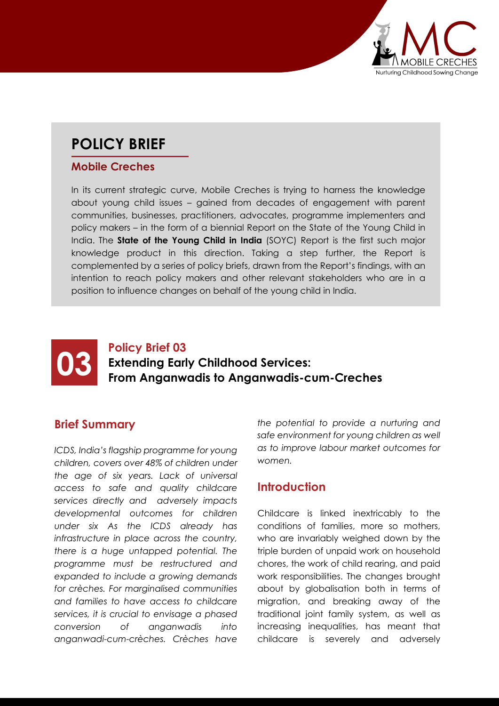

# **POLICY BRIEF**

#### **Mobile Creches**

In its current strategic curve, Mobile Creches is trying to harness the knowledge about young child issues – gained from decades of engagement with parent communities, businesses, practitioners, advocates, programme implementers and policy makers – in the form of a biennial Report on the State of the Young Child in India. The **State of the Young Child in India** (SOYC) Report is the first such major knowledge product in this direction. Taking a step further, the Report is complemented by a series of policy briefs, drawn from the Report's findings, with an intention to reach policy makers and other relevant stakeholders who are in a position to influence changes on behalf of the young child in India.

## **03 Extending Ear**<br>**Policy Brief 03**<br>**Prom Anganw Extending Early Childhood Services: From Anganwadis to Anganwadis-cum-Creches**

#### **Brief Summary**

*ICDS, India's flagship programme for young children, covers over 48% of children under the age of six years. Lack of universal access to safe and quality childcare services directly and adversely impacts developmental outcomes for children under six As the ICDS already has infrastructure in place across the country, there is a huge untapped potential. The programme must be restructured and expanded to include a growing demands for crèches. For marginalised communities and families to have access to childcare services, it is crucial to envisage a phased conversion of anganwadis into anganwadi-cum-crèches. Crèches have* 

*the potential to provide a nurturing and safe environment for young children as well as to improve labour market outcomes for women.*

#### **Introduction**

Childcare is linked inextricably to the conditions of families, more so mothers, who are invariably weighed down by the triple burden of unpaid work on household chores, the work of child rearing, and paid work responsibilities. The changes brought about by globalisation both in terms of migration, and breaking away of the traditional joint family system, as well as increasing inequalities, has meant that childcare is severely and adversely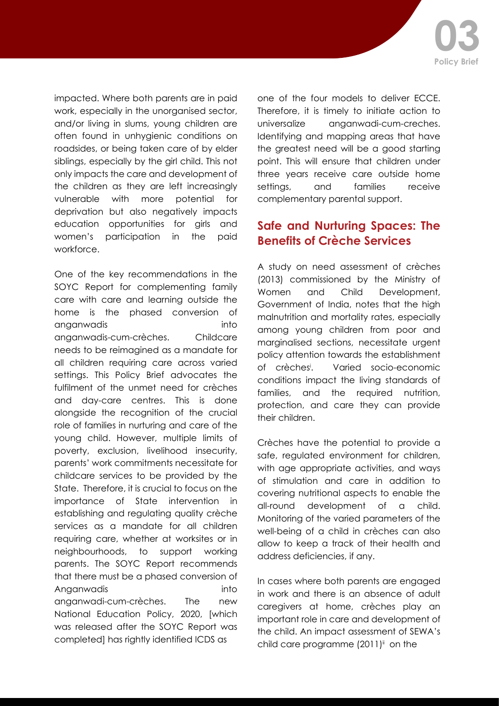impacted. Where both parents are in paid work, especially in the unorganised sector, and/or living in slums, young children are often found in unhygienic conditions on roadsides, or being taken care of by elder siblings, especially by the girl child. This not only impacts the care and development of the children as they are left increasingly vulnerable with more potential for deprivation but also negatively impacts education opportunities for girls and women's participation in the paid workforce.

One of the key recommendations in the SOYC Report for complementing family care with care and learning outside the home is the phased conversion of anganwadis into anganwadis-cum-crèches. Childcare needs to be reimagined as a mandate for all children requiring care across varied settings. This Policy Brief advocates the fulfilment of the unmet need for crèches and day-care centres. This is done alongside the recognition of the crucial role of families in nurturing and care of the young child. However, multiple limits of poverty, exclusion, livelihood insecurity, parents' work commitments necessitate for childcare services to be provided by the State. Therefore, it is crucial to focus on the importance of State intervention in establishing and regulating quality crèche services as a mandate for all children requiring care, whether at worksites or in neighbourhoods, to support working parents. The SOYC Report recommends that there must be a phased conversion of Anganwadis into anganwadi-cum-crèches. The new National Education Policy, 2020, [which was released after the SOYC Report was completed] has rightly identified ICDS as

one of the four models to deliver ECCE. Therefore, it is timely to initiate action to universalize anganwadi-cum-creches. Identifying and mapping areas that have the greatest need will be a good starting point. This will ensure that children under three years receive care outside home settings, and families receive complementary parental support.

#### **Safe and Nurturing Spaces: The Benefits of Crèche Services**

A study on need assessment of crèches (2013) commissioned by the Ministry of Women and Child Development, Government of India, notes that the high malnutrition and mortality rates, especially among young children from poor and marginalised sections, necessitate urgent policy attention towards the establishment of crèchesi . Varied socio-economic conditions impact the living standards of families, and the required nutrition, protection, and care they can provide their children.

Crèches have the potential to provide a safe, regulated environment for children, with age appropriate activities, and ways of stimulation and care in addition to covering nutritional aspects to enable the all-round development of a child. Monitoring of the varied parameters of the well-being of a child in crèches can also allow to keep a track of their health and address deficiencies, if any.

In cases where both parents are engaged in work and there is an absence of adult caregivers at home, crèches play an important role in care and development of the child. An impact assessment of SEWA's child care programme  $(2011)^{ii}$  on the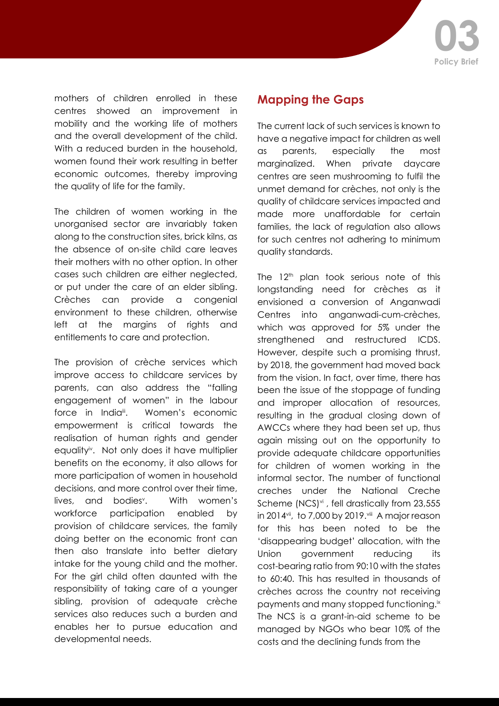

mothers of children enrolled in these centres showed an improvement in mobility and the working life of mothers and the overall development of the child. With a reduced burden in the household. women found their work resulting in better economic outcomes, thereby improving the quality of life for the family.

The children of women working in the unorganised sector are invariably taken along to the construction sites, brick kilns, as the absence of on-site child care leaves their mothers with no other option. In other cases such children are either neglected, or put under the care of an elder sibling. Crèches can provide a congenial environment to these children, otherwise left at the margins of rights and entitlements to care and protection.

The provision of crèche services which improve access to childcare services by parents, can also address the "falling engagement of women" in the labour force in India<sup>ii</sup>. Women's economic empowerment is critical towards the realisation of human rights and gender equality<sup>iv</sup>. Not only does it have multiplier benefits on the economy, it also allows for more participation of women in household decisions, and more control over their time, lives, and bodies<sup>v</sup>. With women's workforce participation enabled by provision of childcare services, the family doing better on the economic front can then also translate into better dietary intake for the young child and the mother. For the girl child often daunted with the responsibility of taking care of a younger sibling, provision of adequate crèche services also reduces such a burden and enables her to pursue education and developmental needs.

### **Mapping the Gaps**

The current lack of such services is known to have a negative impact for children as well as parents, especially the most marginalized. When private daycare centres are seen mushrooming to fulfil the unmet demand for crèches, not only is the quality of childcare services impacted and made more unaffordable for certain families, the lack of regulation also allows for such centres not adhering to minimum quality standards.

The 12<sup>th</sup> plan took serious note of this longstanding need for crèches as it envisioned a conversion of Anganwadi Centres into anganwadi-cum-crèches, which was approved for 5% under the strengthened and restructured ICDS. However, despite such a promising thrust, by 2018, the government had moved back from the vision. In fact, over time, there has been the issue of the stoppage of funding and improper allocation of resources, resulting in the gradual closing down of AWCCs where they had been set up, thus again missing out on the opportunity to provide adequate childcare opportunities for children of women working in the informal sector. The number of functional creches under the National Creche Scheme (NCS)<sup>vi</sup>, fell drastically from 23,555 in 2014 $vii$ , to 7,000 by 2019. $viii$  A major reason for this has been noted to be the 'disappearing budget' allocation, with the Union government reducing its cost-bearing ratio from 90:10 with the states to 60:40. This has resulted in thousands of crèches across the country not receiving payments and many stopped functioning.<sup>ix</sup> The NCS is a grant-in-aid scheme to be managed by NGOs who bear 10% of the costs and the declining funds from the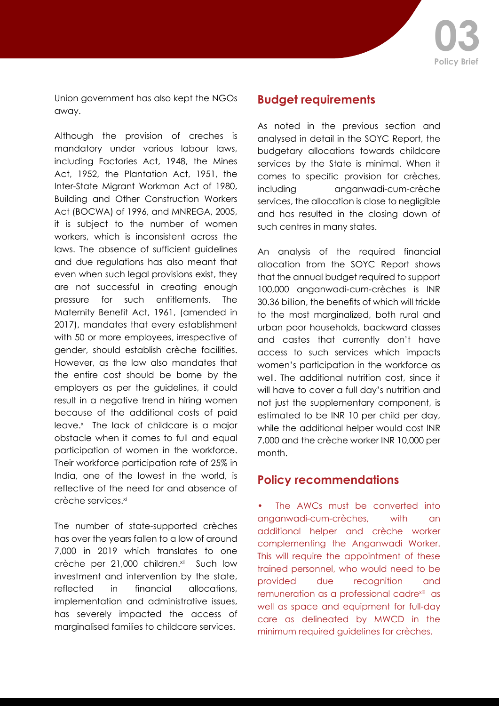

Union government has also kept the NGOs away.

Although the provision of creches is mandatory under various labour laws, including Factories Act, 1948, the Mines Act, 1952, the Plantation Act, 1951, the Inter-State Migrant Workman Act of 1980, Building and Other Construction Workers Act (BOCWA) of 1996, and MNREGA, 2005, it is subject to the number of women workers, which is inconsistent across the laws. The absence of sufficient guidelines and due regulations has also meant that even when such legal provisions exist, they are not successful in creating enough pressure for such entitlements. The Maternity Benefit Act, 1961, (amended in 2017), mandates that every establishment with 50 or more employees, irrespective of gender, should establish crèche facilities. However, as the law also mandates that the entire cost should be borne by the employers as per the guidelines, it could result in a negative trend in hiring women because of the additional costs of paid leave.<sup>x</sup> The lack of childcare is a major obstacle when it comes to full and equal participation of women in the workforce. Their workforce participation rate of 25% in India, one of the lowest in the world, is reflective of the need for and absence of crèche services.<sup>xi</sup>

The number of state-supported crèches has over the years fallen to a low of around 7,000 in 2019 which translates to one crèche per 21,000 children.<sup>xii</sup> Such low investment and intervention by the state, reflected in financial allocations, implementation and administrative issues, has severely impacted the access of marginalised families to childcare services.

#### **Budget requirements**

As noted in the previous section and analysed in detail in the SOYC Report, the budgetary allocations towards childcare services by the State is minimal. When it comes to specific provision for crèches, including anganwadi-cum-crèche services, the allocation is close to negligible and has resulted in the closing down of such centres in many states.

An analysis of the required financial allocation from the SOYC Report shows that the annual budget required to support 100,000 anganwadi-cum-crèches is INR 30.36 billion, the benefits of which will trickle to the most marginalized, both rural and urban poor households, backward classes and castes that currently don't have access to such services which impacts women's participation in the workforce as well. The additional nutrition cost, since it will have to cover a full day's nutrition and not just the supplementary component, is estimated to be INR 10 per child per day, while the additional helper would cost INR 7,000 and the crèche worker INR 10,000 per month.

#### **Policy recommendations**

The AWCs must be converted into anganwadi-cum-crèches, with an additional helper and crèche worker complementing the Anganwadi Worker. This will require the appointment of these trained personnel, who would need to be provided due recognition and remuneration as a professional cadrexiii as well as space and equipment for full-day care as delineated by MWCD in the minimum required guidelines for crèches.